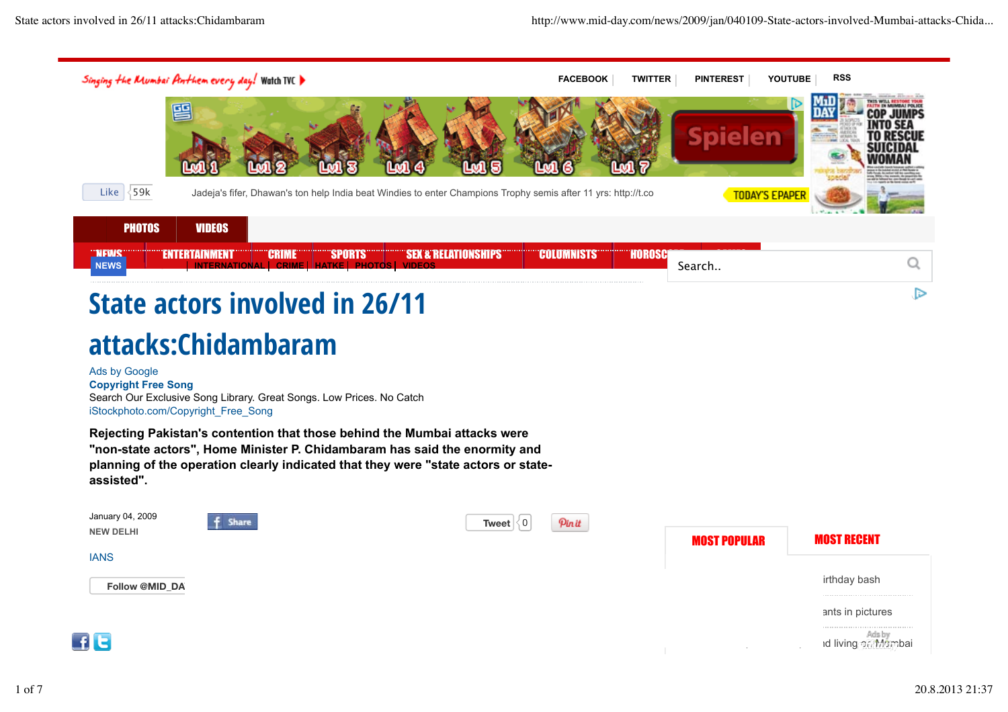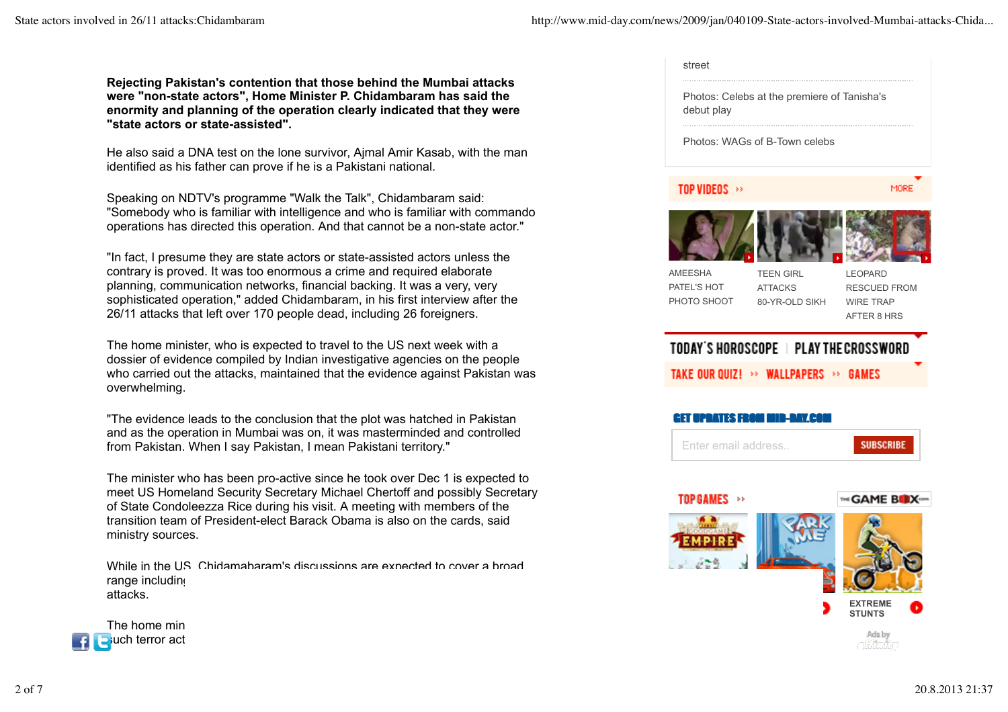**Rejecting Pakistan's contention that those behind the Mumbai attacks were "non-state actors", Home Minister P. Chidambaram has said the enormity and planning of the operation clearly indicated that they were "state actors or state-assisted".**

He also said a DNA test on the lone survivor, Ajmal Amir Kasab, with the man identified as his father can prove if he is a Pakistani national.

Speaking on NDTV's programme "Walk the Talk", Chidambaram said: "Somebody who is familiar with intelligence and who is familiar with commando operations has directed this operation. And that cannot be a non-state actor."

"In fact, I presume they are state actors or state-assisted actors unless the contrary is proved. It was too enormous a crime and required elaborate planning, communication networks, financial backing. It was a very, very sophisticated operation," added Chidambaram, in his first interview after the 26/11 attacks that left over 170 people dead, including 26 foreigners.

The home minister, who is expected to travel to the US next week with a dossier of evidence compiled by Indian investigative agencies on the people who carried out the attacks, maintained that the evidence against Pakistan was overwhelming.

"The evidence leads to the conclusion that the plot was hatched in Pakistan and as the operation in Mumbai was on, it was masterminded and controlled from Pakistan. When I say Pakistan, I mean Pakistani territory."

The minister who has been pro-active since he took over Dec 1 is expected to meet US Homeland Security Secretary Michael Chertoff and possibly Secretary of State Condoleezza Rice during his visit. A meeting with members of the transition team of President-elect Barack Obama is also on the cards, said ministry sources.

While in the U.S. Chidamabaram's discussions are expected to cover a broad range including attacks.



| debut play                                   | Photos: Celebs at the premiere of Tanisha's          |                                                                          |
|----------------------------------------------|------------------------------------------------------|--------------------------------------------------------------------------|
|                                              | Photos: WAGs of B-Town celebs                        |                                                                          |
| <b>TOP VIDEOS</b><br>ķķ                      |                                                      | MORE                                                                     |
|                                              |                                                      |                                                                          |
| <b>AMEESHA</b><br>PATEL'S HOT<br>PHOTO SHOOT | <b>TEEN GIRL</b><br><b>ATTACKS</b><br>80-YR-OLD SIKH | <b>LEOPARD</b><br><b>RESCUED FROM</b><br><b>WIRE TRAP</b><br>AFTER 8 HRS |
|                                              |                                                      |                                                                          |
|                                              | TODAY'S HOROSCOPE E PLAY THE CROSSWORD               |                                                                          |
|                                              | TAKE OUR QUIZ! >> WALLPAPERS >> GAMES                |                                                                          |
| ният<br>- 11                                 | - 174 F                                              |                                                                          |
| Enter email address                          |                                                      | <b>SUBSCRIBE</b>                                                         |
|                                              |                                                      |                                                                          |
| TOP GAMES >>                                 |                                                      | THE GAME BEX COM                                                         |
|                                              |                                                      |                                                                          |

Ads by - 779 - BA

**STUNTS**